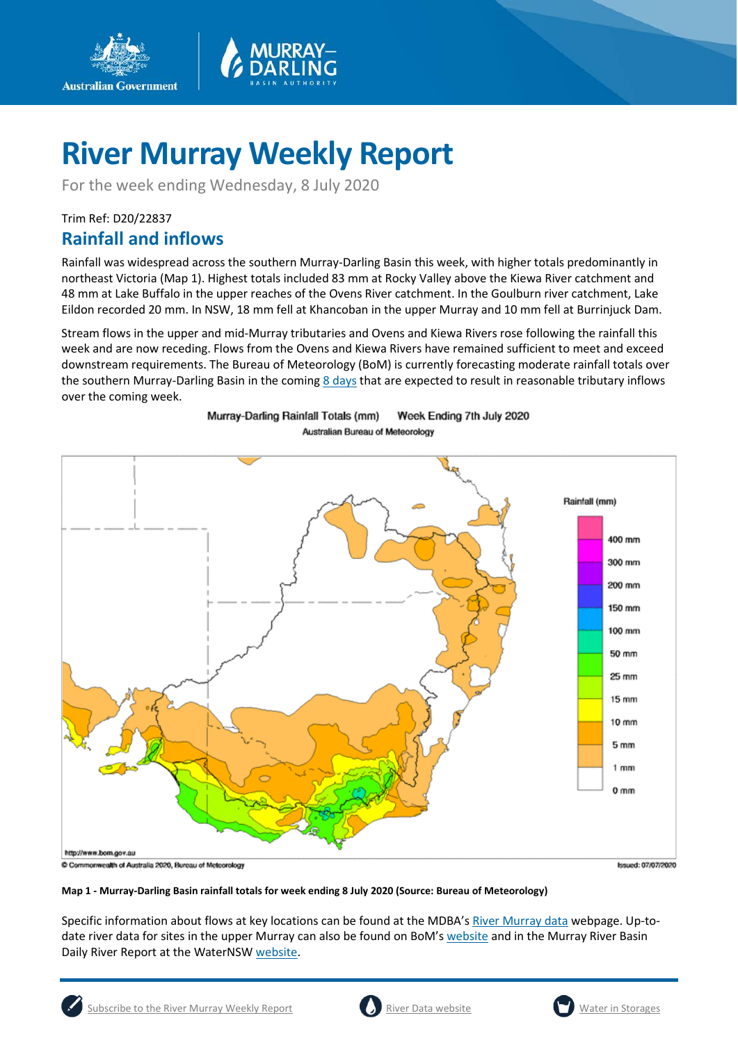

For the week ending Wednesday, 8 July 2020

### Trim Ref: D20/22837 **Rainfall and inflows**

**Australian Government** 

Rainfall was widespread across the southern Murray-Darling Basin this week, with higher totals predominantly in northeast Victoria (Map 1). Highest totals included 83 mm at Rocky Valley above the Kiewa River catchment and 48 mm at Lake Buffalo in the upper reaches of the Ovens River catchment. In the Goulburn river catchment, Lake Eildon recorded 20 mm. In NSW, 18 mm fell at Khancoban in the upper Murray and 10 mm fell at Burrinjuck Dam.

Stream flows in the upper and mid-Murray tributaries and Ovens and Kiewa Rivers rose following the rainfall this week and are now receding. Flows from the Ovens and Kiewa Rivers have remained sufficient to meet and exceed downstream requirements. The Bureau of Meteorology (BoM) is currently forecasting moderate rainfall totals over the southern Murray-Darling Basin in the comin[g 8 days](http://www.bom.gov.au/jsp/watl/rainfall/pme.jsp) that are expected to result in reasonable tributary inflows over the coming week.



### Week Ending 7th July 2020 Murray-Darling Rainfall Totals (mm) Australian Bureau of Meteorology

**Map 1 - Murray-Darling Basin rainfall totals for week ending 8 July 2020 (Source: Bureau of Meteorology)**

Specific information about flows at key locations can be found at the MDBA's [River Murray data](https://riverdata.mdba.gov.au/system-view) webpage. Up-todate river data for sites in the upper Murray can also be found on BoM'[s website](http://www.bom.gov.au/cgi-bin/wrap_fwo.pl?IDV60151.html) and in the Murray River Basin Daily River Report at the WaterNS[W website.](https://realtimedata.waternsw.com.au/water.stm)



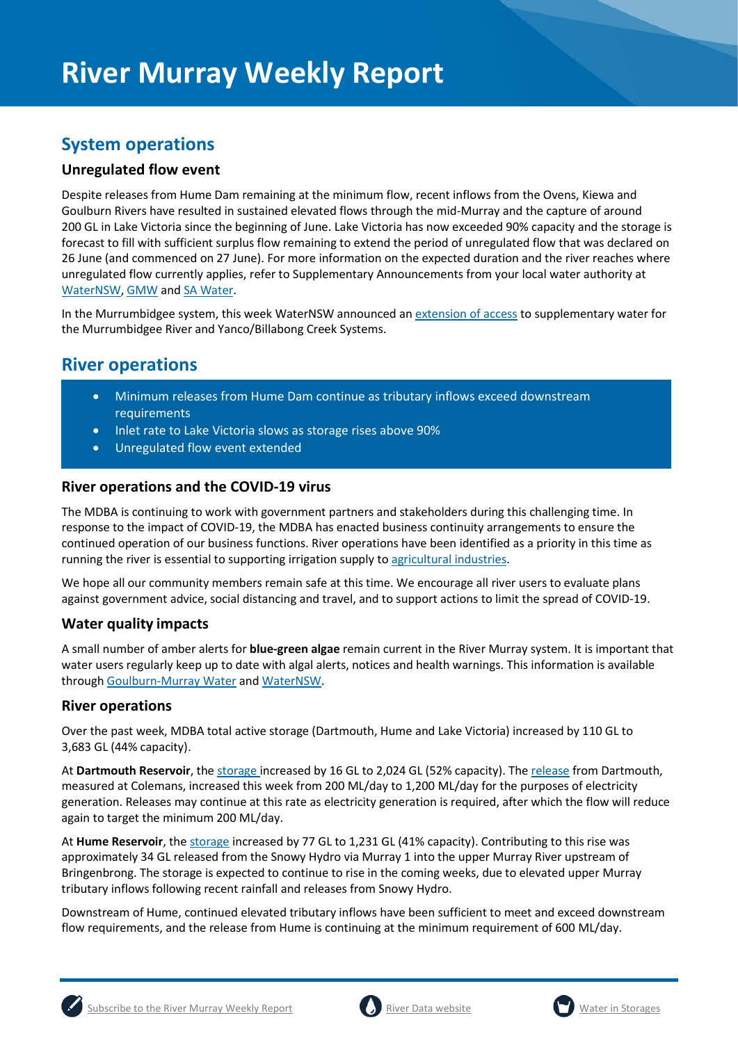### **System operations**

### **Unregulated flow event**

Despite releases from Hume Dam remaining at the minimum flow, recent inflows from the Ovens, Kiewa and Goulburn Rivers have resulted in sustained elevated flows through the mid-Murray and the capture of around 200 GL in Lake Victoria since the beginning of June. Lake Victoria has now exceeded 90% capacity and the storage is forecast to fill with sufficient surplus flow remaining to extend the period of unregulated flow that was declared on 26 June (and commenced on 27 June). For more information on the expected duration and the river reaches where unregulated flow currently applies, refer to Supplementary Announcements from your local water authority at [WaterNSW,](https://www.waternsw.com.au/supply/regional-nsw/supplementaryhttps:/www.waternsw.com.au/supply/regional-nsw/supplementary) [GMW](https://www.g-mwater.com.au/) and [SA Water.](https://www.sawater.com.au/)

In the Murrumbidgee system, this week WaterNSW announced an [extension of access](https://www.waternsw.com.au/supply/regional-nsw/supplementary) to supplementary water for the Murrumbidgee River and Yanco/Billabong Creek Systems.

### **River operations**

- Minimum releases from Hume Dam continue as tributary inflows exceed downstream requirements
- Inlet rate to Lake Victoria slows as storage rises above 90%
- Unregulated flow event extended

### **River operations and the COVID-19 virus**

The MDBA is continuing to work with government partners and stakeholders during this challenging time. In response to the impact of COVID-19, the MDBA has enacted business continuity arrangements to ensure the continued operation of our business functions. River operations have been identified as a priority in this time as running the river is essential to supporting irrigation supply t[o agricultural industries.](https://www.agriculture.gov.au/biosecurity/coronavirus/food-agriculture)

We hope all our community members remain safe at this time. We encourage all river users to evaluate plans against government advice, social distancing and travel, and to support actions to limit the spread of COVID-19.

### **Water quality impacts**

A small number of amber alerts for **blue-green algae** remain current in the River Murray system. It is important that water users regularly keep up to date with algal alerts, notices and health warnings. This information is available throug[h Goulburn-Murray Water](https://www.g-mwater.com.au/news/bga) an[d WaterNSW.](https://www.waternsw.com.au/water-quality/algae)

### **River operations**

Over the past week, MDBA total active storage (Dartmouth, Hume and Lake Victoria) increased by 110 GL to 3,683 GL (44% capacity).

At **Dartmouth Reservoir**, the [storage](https://riverdata.mdba.gov.au/dartmouth-dam) increased by 16 GL to 2,024 GL (52% capacity). Th[e release](https://riverdata.mdba.gov.au/colemans) from Dartmouth, measured at Colemans, increased this week from 200 ML/day to 1,200 ML/day for the purposes of electricity generation. Releases may continue at this rate as electricity generation is required, after which the flow will reduce again to target the minimum 200 ML/day.

At **Hume Reservoir**, the [storage](https://riverdata.mdba.gov.au/hume-dam) increased by 77 GL to 1,231 GL (41% capacity). Contributing to this rise was approximately 34 GL released from the Snowy Hydro via Murray 1 into the upper Murray River upstream of Bringenbrong. The storage is expected to continue to rise in the coming weeks, due to elevated upper Murray tributary inflows following recent rainfall and releases from Snowy Hydro.

Downstream of Hume, continued elevated tributary inflows have been sufficient to meet and exceed downstream flow requirements, and the release from Hume is continuing at the minimum requirement of 600 ML/day.





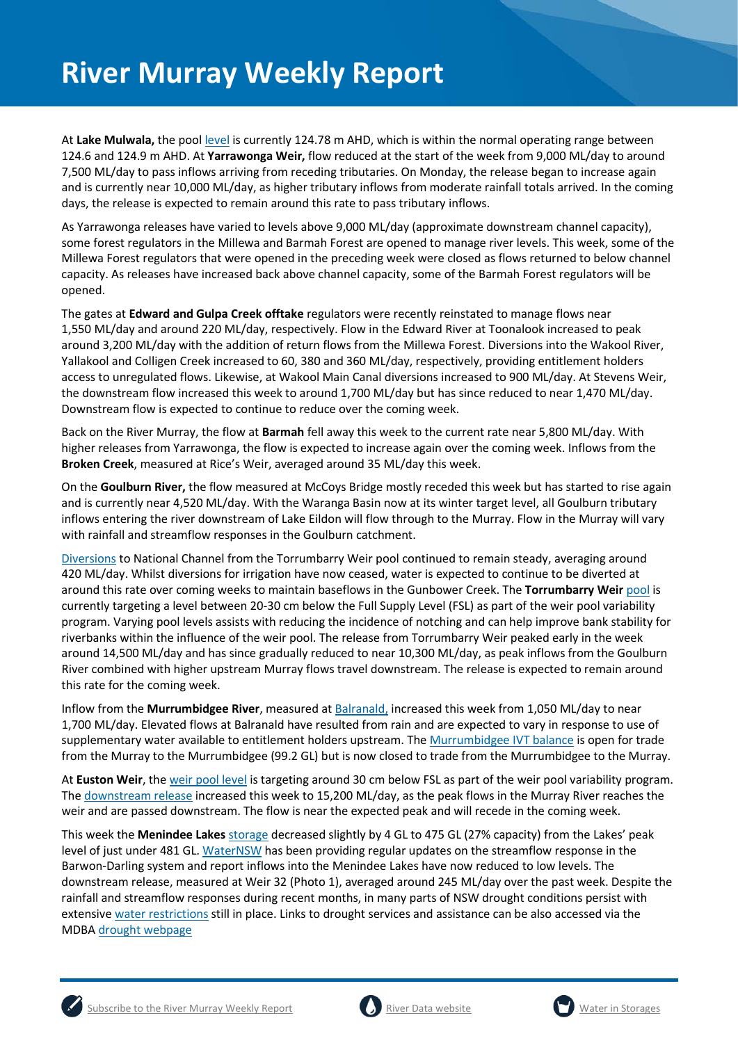At Lake Mulwala, the pool [level](https://riverdata.mdba.gov.au/yarrawonga-weir-upstream) is currently 124.78 m AHD, which is within the normal operating range between 124.6 and 124.9 m AHD. At **Yarrawonga Weir,** flow reduced at the start of the week from 9,000 ML/day to around 7,500 ML/day to pass inflows arriving from receding tributaries. On Monday, the release began to increase again and is currently near 10,000 ML/day, as higher tributary inflows from moderate rainfall totals arrived. In the coming days, the release is expected to remain around this rate to pass tributary inflows.

As Yarrawonga releases have varied to levels above 9,000 ML/day (approximate downstream channel capacity), some forest regulators in the Millewa and Barmah Forest are opened to manage river levels. This week, some of the Millewa Forest regulators that were opened in the preceding week were closed as flows returned to below channel capacity. As releases have increased back above channel capacity, some of the Barmah Forest regulators will be opened.

The gates at **Edward and Gulpa Creek offtake** regulators were recently reinstated to manage flows near 1,550 ML/day and around 220 ML/day, respectively. Flow in the Edward River at Toonalook increased to peak around 3,200 ML/day with the addition of return flows from the Millewa Forest. Diversions into the Wakool River, Yallakool and Colligen Creek increased to 60, 380 and 360 ML/day, respectively, providing entitlement holders access to unregulated flows. Likewise, at Wakool Main Canal diversions increased to 900 ML/day. At Stevens Weir, the downstream flow increased this week to around 1,700 ML/day but has since reduced to near 1,470 ML/day. Downstream flow is expected to continue to reduce over the coming week.

Back on the River Murray, the flow at **Barmah** fell away this week to the current rate near 5,800 ML/day. With higher releases from Yarrawonga, the flow is expected to increase again over the coming week. Inflows from the **Broken Creek**, measured at Rice's Weir, averaged around 35 ML/day this week.

On the **Goulburn River,** the flow measured at McCoys Bridge mostly receded this week but has started to rise again and is currently near 4,520 ML/day. With the Waranga Basin now at its winter target level, all Goulburn tributary inflows entering the river downstream of Lake Eildon will flow through to the Murray. Flow in the Murray will vary with rainfall and streamflow responses in the Goulburn catchment.

[Diversions](https://riverdata.mdba.gov.au/national-channel-ds-torrumbarry-headworks) to National Channel from the Torrumbarry Weir pool continued to remain steady, averaging around 420 ML/day. Whilst diversions for irrigation have now ceased, water is expected to continue to be diverted at around this rate over coming weeks to maintain baseflows in the Gunbower Creek. The **Torrumbarry Weir** [pool](https://riverdata.mdba.gov.au/torrumbarry-weir-lock-26) is currently targeting a level between 20-30 cm below the Full Supply Level (FSL) as part of the weir pool variability program. Varying pool levels assists with reducing the incidence of notching and can help improve bank stability for riverbanks within the influence of the weir pool. The release from Torrumbarry Weir peaked early in the week around 14,500 ML/day and has since gradually reduced to near 10,300 ML/day, as peak inflows from the Goulburn River combined with higher upstream Murray flows travel downstream. The release is expected to remain around this rate for the coming week.

Inflow from the **Murrumbidgee River**, measured a[t Balranald,](https://riverdata.mdba.gov.au/balranald-weir-downstream) increased this week from 1,050 ML/day to near 1,700 ML/day. Elevated flows at Balranald have resulted from rain and are expected to vary in response to use of supplementary water available to entitlement holders upstream. Th[e Murrumbidgee IVT balance](https://www.waternsw.com.au/customer-service/ordering-trading-and-pricing/trading/murrumbidgee) is open for trade from the Murray to the Murrumbidgee (99.2 GL) but is now closed to trade from the Murrumbidgee to the Murray.

At **Euston Weir**, th[e weir pool level](https://riverdata.mdba.gov.au/euston-weir-upstream) is targeting around 30 cm below FSL as part of the weir pool variability program. The [downstream release](https://riverdata.mdba.gov.au/euston-weir-downstream) increased this week to 15,200 ML/day, as the peak flows in the Murray River reaches the weir and are passed downstream. The flow is near the expected peak and will recede in the coming week.

This week the **Menindee Lakes** [storage](https://riverdata.mdba.gov.au/menindee-lakes-combined-storage) decreased slightly by 4 GL to 475 GL (27% capacity) from the Lakes' peak level of just under 481 GL[. WaterNSW](https://www.waternsw.com.au/supply/regional-nsw/operations-updates) has been providing regular updates on the streamflow response in the Barwon-Darling system and report inflows into the Menindee Lakes have now reduced to low levels. The downstream release, measured at Weir 32 (Photo 1), averaged around 245 ML/day over the past week. Despite the rainfall and streamflow responses during recent months, in many parts of NSW drought conditions persist with extensiv[e water restrictions](https://www.industry.nsw.gov.au/water/allocations-availability/temporary-water-restrictions) still in place. Links to drought services and assistance can be also accessed via the MDB[A drought webpage](https://www.mdba.gov.au/managing-water/drought-murray-darling-basin)



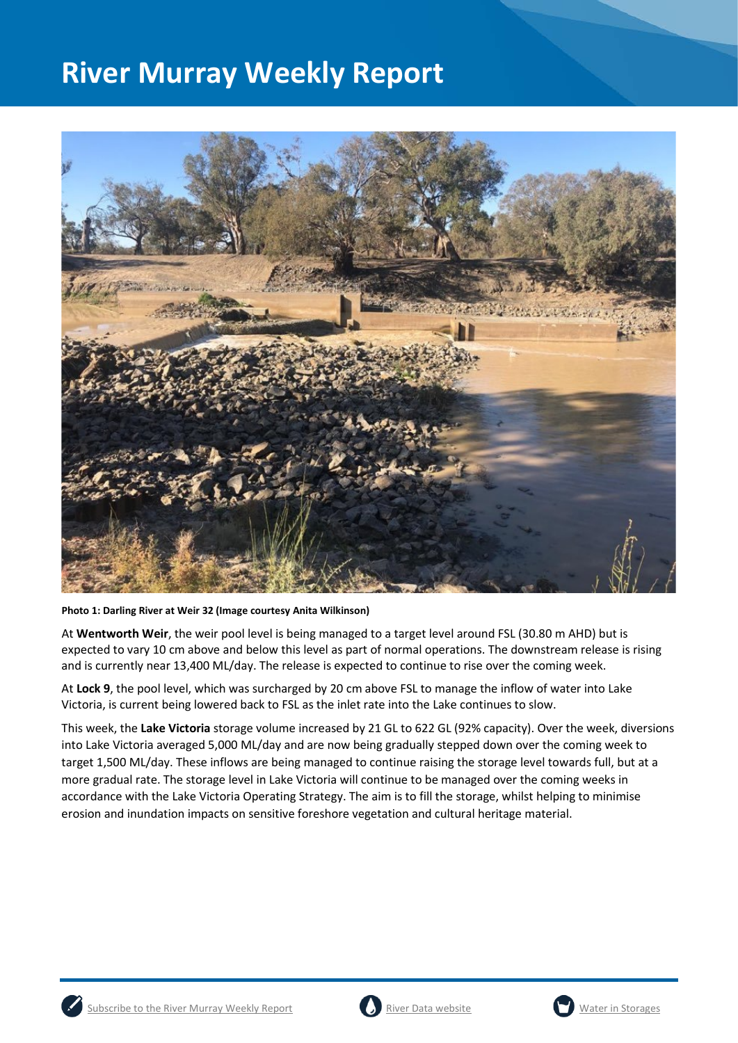

**Photo 1: Darling River at Weir 32 (Image courtesy Anita Wilkinson)**

At **Wentworth Weir**, the weir pool level is being managed to a target level around FSL (30.80 m AHD) but is expected to vary 10 cm above and below this level as part of normal operations. The downstream release is rising and is currently near 13,400 ML/day. The release is expected to continue to rise over the coming week.

At **Lock 9**, the pool level, which was surcharged by 20 cm above FSL to manage the inflow of water into Lake Victoria, is current being lowered back to FSL as the inlet rate into the Lake continues to slow.

This week, the **Lake Victoria** storage volume increased by 21 GL to 622 GL (92% capacity). Over the week, diversions into Lake Victoria averaged 5,000 ML/day and are now being gradually stepped down over the coming week to target 1,500 ML/day. These inflows are being managed to continue raising the storage level towards full, but at a more gradual rate. The storage level in Lake Victoria will continue to be managed over the coming weeks in accordance with the Lake Victoria Operating Strategy. The aim is to fill the storage, whilst helping to minimise erosion and inundation impacts on sensitive foreshore vegetation and cultural heritage material.





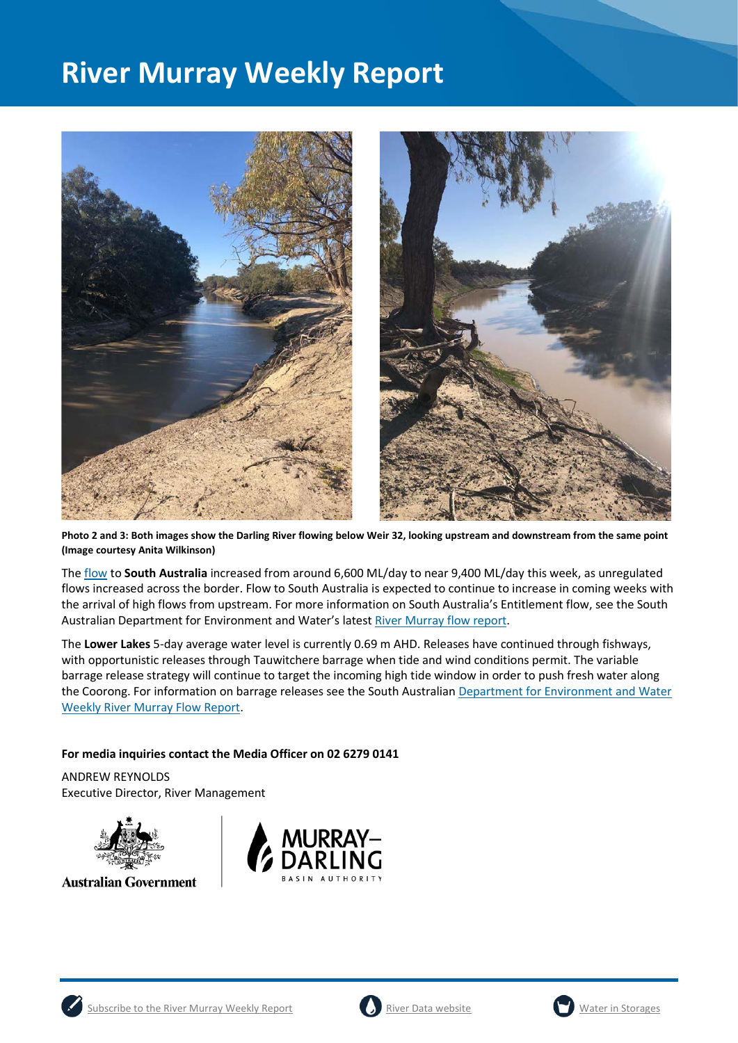

**Photo 2 and 3: Both images show the Darling River flowing below Weir 32, looking upstream and downstream from the same point (Image courtesy Anita Wilkinson)**

The [flow](https://riverdata.mdba.gov.au/flow-south-australia-calculated) to **South Australia** increased from around 6,600 ML/day to near 9,400 ML/day this week, as unregulated flows increased across the border. Flow to South Australia is expected to continue to increase in coming weeks with the arrival of high flows from upstream. For more information on South Australia's Entitlement flow, see the South Australian Department for Environment and Water's lates[t River Murray flow report.](https://www.waterconnect.sa.gov.au/River-Murray/SitePages/2020%20Flow%20Reports.aspx)

The **Lower Lakes** 5-day average water level is currently 0.69 m AHD. Releases have continued through fishways, with opportunistic releases through Tauwitchere barrage when tide and wind conditions permit. The variable barrage release strategy will continue to target the incoming high tide window in order to push fresh water along the Coorong. For information on barrage releases see the South Australian Department for Environment and Water [Weekly River Murray Flow Report.](https://www.waterconnect.sa.gov.au/River-Murray/SitePages/River%20Murray%20Flow%20Reports.aspx)

### **For media inquiries contact the Media Officer on 02 6279 0141**

ANDREW REYNOLDS Executive Director, River Management



**Australian Government** 







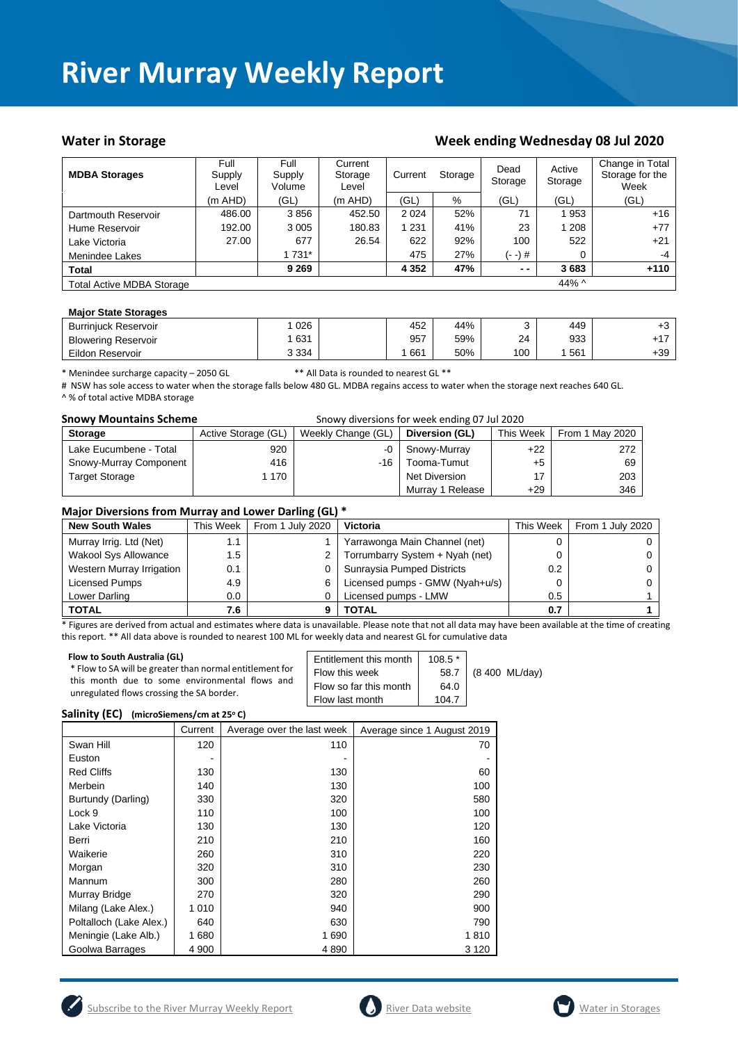### **Water in Storage Week ending Wednesday 08 Jul 2020**

| <b>MDBA Storages</b>             | Full<br>Supply<br>Level | Full<br>Supply<br>Volume | Current<br>Storage<br>Level | Current<br>Storage |      | Dead<br>Storage | Active<br>Storage | Change in Total<br>Storage for the<br>Week |
|----------------------------------|-------------------------|--------------------------|-----------------------------|--------------------|------|-----------------|-------------------|--------------------------------------------|
|                                  | $(m$ AHD $)$            | (GL)                     | $(m$ AHD)                   | (GL)               | $\%$ | (GL)            | (GL)              | (GL)                                       |
| Dartmouth Reservoir              | 486.00                  | 3856                     | 452.50                      | 2 0 2 4            | 52%  | 71              | 1953              | $+16$                                      |
| Hume Reservoir                   | 192.00                  | 3 0 0 5                  | 180.83                      | 1 231              | 41%  | 23              | 1 208             | $+77$                                      |
| Lake Victoria                    | 27.00                   | 677                      | 26.54                       | 622                | 92%  | 100             | 522               | $+21$                                      |
| Menindee Lakes                   |                         | 1 731*                   |                             | 475                | 27%  | (- -) #         | 0                 | $-4$                                       |
| <b>Total</b>                     |                         | 9 2 6 9                  |                             | 4 3 5 2            | 47%  | $ -$            | 3683              | $+110$                                     |
| <b>Total Active MDBA Storage</b> |                         |                          |                             |                    |      |                 | 44% $\land$       |                                            |

### **Major State Storages**

| 026<br>452<br>44%<br>449<br><b>Burriniuck Reservoir</b>      | 10    |
|--------------------------------------------------------------|-------|
| 933<br>957<br>631<br>59%<br>24<br><b>Blowering Reservoir</b> |       |
| 661<br>50%<br>100<br>561<br>3 3 3 4<br>Eildon Reservoir      | $+39$ |

\* Menindee surcharge capacity – 2050 GL \*\* All Data is rounded to nearest GL \*\*

# NSW has sole access to water when the storage falls below 480 GL. MDBA regains access to water when the storage next reaches 640 GL. ^ % of total active MDBA storage

| <b>Snowy Mountains Scheme</b> |                     |                    | Snowy diversions for week ending 07 Jul 2020 |           |                 |
|-------------------------------|---------------------|--------------------|----------------------------------------------|-----------|-----------------|
| <b>Storage</b>                | Active Storage (GL) | Weekly Change (GL) | Diversion (GL)                               | This Week | From 1 May 2020 |
| Lake Eucumbene - Total        | 920                 | $-0$               | Snowy-Murray                                 | $+22$     | 272             |
| Snowy-Murray Component        | 416                 | -16                | Tooma-Tumut                                  | $+5$      | 69              |
| <b>Target Storage</b>         | 1 170               |                    | Net Diversion                                | 17        | 203             |
|                               |                     |                    | Murray 1 Release                             | $+29$     | 346             |

### **Major Diversions from Murray and Lower Darling (GL) \***

| <b>New South Wales</b>      | This Week | From 1 July 2020 | <b>Victoria</b>                 | This Week     | From 1 July 2020 |
|-----------------------------|-----------|------------------|---------------------------------|---------------|------------------|
| Murray Irrig. Ltd (Net)     | 1.1       |                  | Yarrawonga Main Channel (net)   |               |                  |
| <b>Wakool Sys Allowance</b> | 1.5       |                  | Torrumbarry System + Nyah (net) |               |                  |
| Western Murray Irrigation   | 0.1       |                  | Sunraysia Pumped Districts      | $0.2^{\circ}$ |                  |
| Licensed Pumps              | 4.9       | 6                | Licensed pumps - GMW (Nyah+u/s) | 0             |                  |
| Lower Darling               | $0.0\,$   |                  | Licensed pumps - LMW            | 0.5           |                  |
| <b>TOTAL</b>                | 7.6       |                  | TOTAL                           | 0.7           |                  |

\* Figures are derived from actual and estimates where data is unavailable. Please note that not all data may have been available at the time of creating this report. \*\* All data above is rounded to nearest 100 ML for weekly data and nearest GL for cumulative data

### **Salinity (EC)** (microSiemens/cm at 25°C)

|                         | Current | Average over the last week | Average since 1 August 2019 |
|-------------------------|---------|----------------------------|-----------------------------|
| Swan Hill               | 120     | 110                        | 70                          |
| Euston                  |         |                            |                             |
| <b>Red Cliffs</b>       | 130     | 130                        | 60                          |
| Merbein                 | 140     | 130                        | 100                         |
| Burtundy (Darling)      | 330     | 320                        | 580                         |
| Lock 9                  | 110     | 100                        | 100                         |
| Lake Victoria           | 130     | 130                        | 120                         |
| Berri                   | 210     | 210                        | 160                         |
| Waikerie                | 260     | 310                        | 220                         |
| Morgan                  | 320     | 310                        | 230                         |
| Mannum                  | 300     | 280                        | 260                         |
| Murray Bridge           | 270     | 320                        | 290                         |
| Milang (Lake Alex.)     | 1 0 1 0 | 940                        | 900                         |
| Poltalloch (Lake Alex.) | 640     | 630                        | 790                         |
| Meningie (Lake Alb.)    | 1680    | 1690                       | 1810                        |
| Goolwa Barrages         | 4 900   | 4890                       | 3 1 2 0                     |





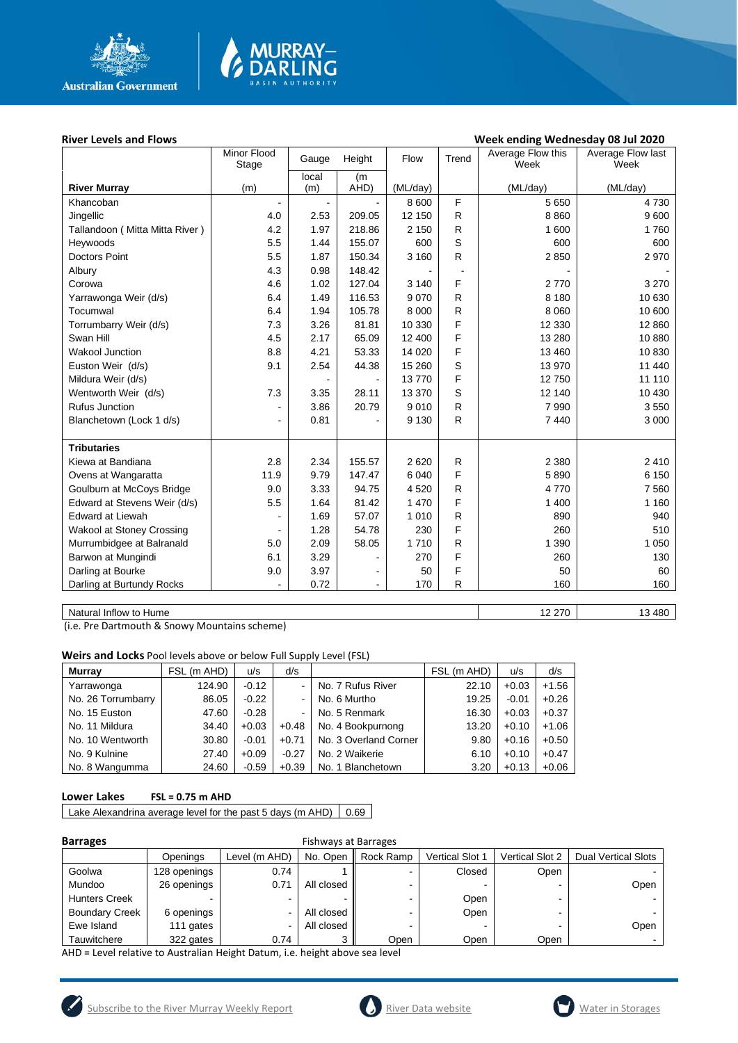

# **MURRAY-<br>DARLING**

### **River Levels and Flows Week ending Wednesday 08 Jul 2020**

|                                  | Minor Flood<br>Stage | Height<br>Gauge |                | Flow<br>Trend |                | Average Flow this<br>Week | Average Flow last<br>Week |
|----------------------------------|----------------------|-----------------|----------------|---------------|----------------|---------------------------|---------------------------|
|                                  |                      | local           | (m             |               |                |                           |                           |
| <b>River Murray</b>              | (m)                  | (m)             | AHD)           | (ML/day)      |                | (ML/day)                  | (ML/day)                  |
| Khancoban                        |                      | $\blacksquare$  |                | 8 600         | F              | 5 6 5 0                   | 4730                      |
| Jingellic                        | 4.0                  | 2.53            | 209.05         | 12 150        | R              | 8860                      | 9600                      |
| Tallandoon ( Mitta Mitta River ) | 4.2                  | 1.97            | 218.86         | 2 1 5 0       | R              | 1 600                     | 1760                      |
| Heywoods                         | 5.5                  | 1.44            | 155.07         | 600           | S              | 600                       | 600                       |
| <b>Doctors Point</b>             | 5.5                  | 1.87            | 150.34         | 3 1 6 0       | R              | 2850                      | 2970                      |
| Albury                           | 4.3                  | 0.98            | 148.42         |               | $\blacksquare$ |                           |                           |
| Corowa                           | 4.6                  | 1.02            | 127.04         | 3 1 4 0       | F              | 2770                      | 3 2 7 0                   |
| Yarrawonga Weir (d/s)            | 6.4                  | 1.49            | 116.53         | 9 0 7 0       | R              | 8 1 8 0                   | 10 630                    |
| Tocumwal                         | 6.4                  | 1.94            | 105.78         | 8 0 0 0       | R              | 8 0 6 0                   | 10 600                    |
| Torrumbarry Weir (d/s)           | 7.3                  | 3.26            | 81.81          | 10 330        | F              | 12 3 30                   | 12 860                    |
| Swan Hill                        | 4.5                  | 2.17            | 65.09          | 12 400        | F              | 13 280                    | 10880                     |
| <b>Wakool Junction</b>           | 8.8                  | 4.21            | 53.33          | 14 0 20       | F              | 13 460                    | 10 830                    |
| Euston Weir (d/s)                | 9.1                  | 2.54            | 44.38          | 15 260        | S              | 13 970                    | 11 440                    |
| Mildura Weir (d/s)               |                      |                 |                | 13770         | F              | 12750                     | 11 110                    |
| Wentworth Weir (d/s)             | 7.3                  | 3.35            | 28.11          | 13 370        | S              | 12 140                    | 10 430                    |
| <b>Rufus Junction</b>            |                      | 3.86            | 20.79          | 9010          | R              | 7 9 9 0                   | 3550                      |
| Blanchetown (Lock 1 d/s)         | $\blacksquare$       | 0.81            |                | 9 1 3 0       | R              | 7440                      | 3 0 0 0                   |
|                                  |                      |                 |                |               |                |                           |                           |
| <b>Tributaries</b>               |                      |                 |                |               |                |                           |                           |
| Kiewa at Bandiana                | 2.8                  | 2.34            | 155.57         | 2620          | R              | 2 3 8 0                   | 2410                      |
| Ovens at Wangaratta              | 11.9                 | 9.79            | 147.47         | 6 0 4 0       | F              | 5890                      | 6 150                     |
| Goulburn at McCoys Bridge        | 9.0                  | 3.33            | 94.75          | 4520          | R              | 4770                      | 7 5 6 0                   |
| Edward at Stevens Weir (d/s)     | 5.5                  | 1.64            | 81.42          | 1 4 7 0       | F              | 1 400                     | 1 1 6 0                   |
| <b>Edward at Liewah</b>          |                      | 1.69            | 57.07          | 1 0 1 0       | R              | 890                       | 940                       |
| Wakool at Stoney Crossing        |                      | 1.28            | 54.78          | 230           | F              | 260                       | 510                       |
| Murrumbidgee at Balranald        | 5.0                  | 2.09            | 58.05          | 1710          | R              | 1 3 9 0                   | 1 0 5 0                   |
| Barwon at Mungindi               | 6.1                  | 3.29            | ä,             | 270           | F              | 260                       | 130                       |
| Darling at Bourke                | 9.0                  | 3.97            | $\blacksquare$ | 50            | F              | 50                        | 60                        |
| Darling at Burtundy Rocks        |                      | 0.72            | $\blacksquare$ | 170           | R              | 160                       | 160                       |
|                                  |                      |                 |                |               |                |                           |                           |

Natural Inflow to Hume 13 480

(i.e. Pre Dartmouth & Snowy Mountains scheme)

**Weirs and Locks** Pool levels above or below Full Supply Level (FSL)

| <b>Murrav</b>      | FSL (m AHD) | u/s     | d/s     |                       | FSL (m AHD) | u/s     | d/s     |
|--------------------|-------------|---------|---------|-----------------------|-------------|---------|---------|
| Yarrawonga         | 124.90      | $-0.12$ |         | No. 7 Rufus River     | 22.10       | $+0.03$ | $+1.56$ |
| No. 26 Torrumbarry | 86.05       | $-0.22$ |         | No. 6 Murtho          | 19.25       | $-0.01$ | $+0.26$ |
| No. 15 Euston      | 47.60       | $-0.28$ |         | No. 5 Renmark         | 16.30       | $+0.03$ | $+0.37$ |
| No. 11 Mildura     | 34.40       | $+0.03$ | $+0.48$ | No. 4 Bookpurnong     | 13.20       | $+0.10$ | $+1.06$ |
| No. 10 Wentworth   | 30.80       | $-0.01$ | $+0.71$ | No. 3 Overland Corner | 9.80        | $+0.16$ | $+0.50$ |
| No. 9 Kulnine      | 27.40       | $+0.09$ | $-0.27$ | No. 2 Waikerie        | 6.10        | $+0.10$ | $+0.47$ |
| No. 8 Wangumma     | 24.60       | $-0.59$ | $+0.39$ | No. 1 Blanchetown     | 3.20        | $+0.13$ | $+0.06$ |

### **Lower Lakes FSL = 0.75 m AHD**

Lake Alexandrina average level for the past 5 days (m AHD)  $\Big| 0.69 \Big|$ 

| . . | arra |  |
|-----|------|--|
|     |      |  |

### **Barrages** Fishways at Barrages

|                       | Openings     | Level (m AHD) | No. Open   | Rock Ramp | <b>Vertical Slot 1</b> | <b>Vertical Slot 2</b> | <b>Dual Vertical Slots</b> |
|-----------------------|--------------|---------------|------------|-----------|------------------------|------------------------|----------------------------|
| Goolwa                | 128 openings | 0.74          |            |           | Closed                 | Open                   |                            |
| Mundoo                | 26 openings  | 0.71          | All closed |           |                        |                        | Open                       |
| <b>Hunters Creek</b>  |              | -             |            |           | Open                   | -                      |                            |
| <b>Boundary Creek</b> | 6 openings   |               | All closed |           | Open                   |                        |                            |
| Ewe Island            | 111 gates    |               | All closed |           |                        |                        | Open                       |
| Tauwitchere           | 322 gates    | 0.74          |            | Open      | Open                   | Open                   |                            |

AHD = Level relative to Australian Height Datum, i.e. height above sea level